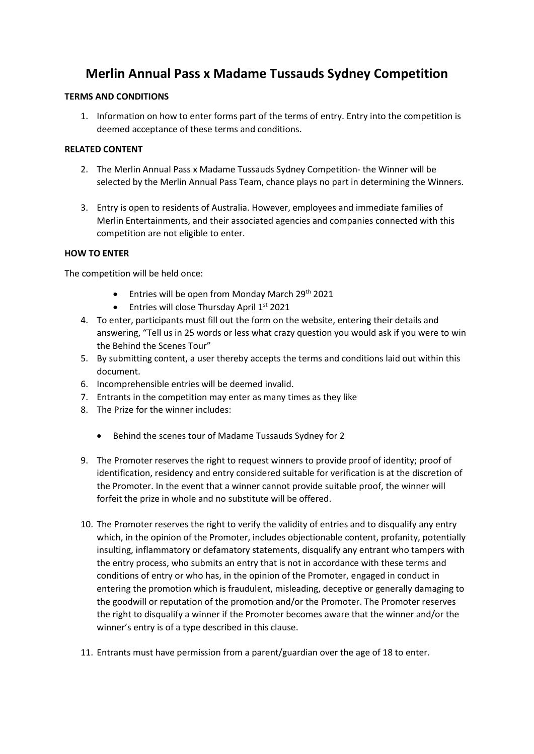# **Merlin Annual Pass x Madame Tussauds Sydney Competition**

### **TERMS AND CONDITIONS**

1. Information on how to enter forms part of the terms of entry. Entry into the competition is deemed acceptance of these terms and conditions.

### **RELATED CONTENT**

- 2. The Merlin Annual Pass x Madame Tussauds Sydney Competition- the Winner will be selected by the Merlin Annual Pass Team, chance plays no part in determining the Winners.
- 3. Entry is open to residents of Australia. However, employees and immediate families of Merlin Entertainments, and their associated agencies and companies connected with this competition are not eligible to enter.

### **HOW TO ENTER**

The competition will be held once:

- Entries will be open from Monday March 29th 2021
- Entries will close Thursday April  $1<sup>st</sup>$  2021
- 4. To enter, participants must fill out the form on the website, entering their details and answering, "Tell us in 25 words or less what crazy question you would ask if you were to win the Behind the Scenes Tour"
- 5. By submitting content, a user thereby accepts the terms and conditions laid out within this document.
- 6. Incomprehensible entries will be deemed invalid.
- 7. Entrants in the competition may enter as many times as they like
- 8. The Prize for the winner includes:
	- Behind the scenes tour of Madame Tussauds Sydney for 2
- 9. The Promoter reserves the right to request winners to provide proof of identity; proof of identification, residency and entry considered suitable for verification is at the discretion of the Promoter. In the event that a winner cannot provide suitable proof, the winner will forfeit the prize in whole and no substitute will be offered.
- 10. The Promoter reserves the right to verify the validity of entries and to disqualify any entry which, in the opinion of the Promoter, includes objectionable content, profanity, potentially insulting, inflammatory or defamatory statements, disqualify any entrant who tampers with the entry process, who submits an entry that is not in accordance with these terms and conditions of entry or who has, in the opinion of the Promoter, engaged in conduct in entering the promotion which is fraudulent, misleading, deceptive or generally damaging to the goodwill or reputation of the promotion and/or the Promoter. The Promoter reserves the right to disqualify a winner if the Promoter becomes aware that the winner and/or the winner's entry is of a type described in this clause.
- 11. Entrants must have permission from a parent/guardian over the age of 18 to enter.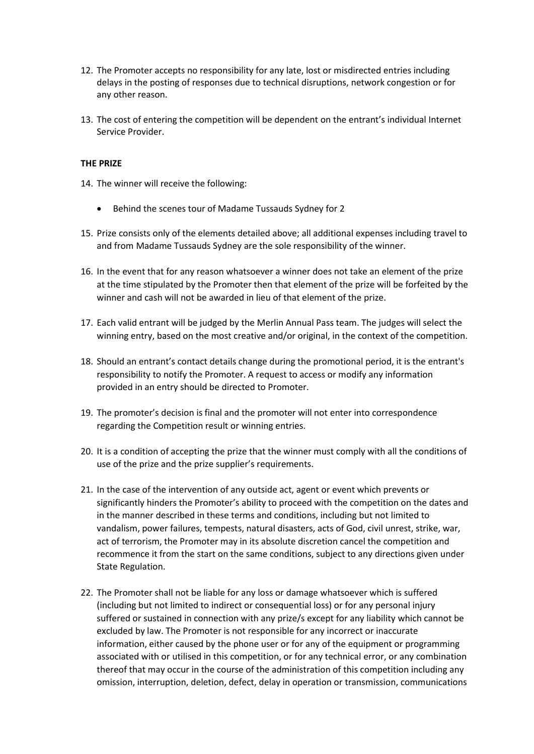- 12. The Promoter accepts no responsibility for any late, lost or misdirected entries including delays in the posting of responses due to technical disruptions, network congestion or for any other reason.
- 13. The cost of entering the competition will be dependent on the entrant's individual Internet Service Provider.

## **THE PRIZE**

- 14. The winner will receive the following:
	- Behind the scenes tour of Madame Tussauds Sydney for 2
- 15. Prize consists only of the elements detailed above; all additional expenses including travel to and from Madame Tussauds Sydney are the sole responsibility of the winner.
- 16. In the event that for any reason whatsoever a winner does not take an element of the prize at the time stipulated by the Promoter then that element of the prize will be forfeited by the winner and cash will not be awarded in lieu of that element of the prize.
- 17. Each valid entrant will be judged by the Merlin Annual Pass team. The judges will select the winning entry, based on the most creative and/or original, in the context of the competition.
- 18. Should an entrant's contact details change during the promotional period, it is the entrant's responsibility to notify the Promoter. A request to access or modify any information provided in an entry should be directed to Promoter.
- 19. The promoter's decision is final and the promoter will not enter into correspondence regarding the Competition result or winning entries.
- 20. It is a condition of accepting the prize that the winner must comply with all the conditions of use of the prize and the prize supplier's requirements.
- 21. In the case of the intervention of any outside act, agent or event which prevents or significantly hinders the Promoter's ability to proceed with the competition on the dates and in the manner described in these terms and conditions, including but not limited to vandalism, power failures, tempests, natural disasters, acts of God, civil unrest, strike, war, act of terrorism, the Promoter may in its absolute discretion cancel the competition and recommence it from the start on the same conditions, subject to any directions given under State Regulation.
- 22. The Promoter shall not be liable for any loss or damage whatsoever which is suffered (including but not limited to indirect or consequential loss) or for any personal injury suffered or sustained in connection with any prize/s except for any liability which cannot be excluded by law. The Promoter is not responsible for any incorrect or inaccurate information, either caused by the phone user or for any of the equipment or programming associated with or utilised in this competition, or for any technical error, or any combination thereof that may occur in the course of the administration of this competition including any omission, interruption, deletion, defect, delay in operation or transmission, communications